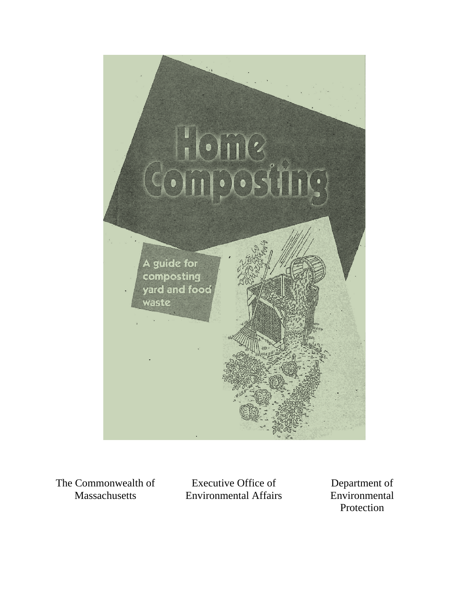

The Commonwealth of Massachusetts

Executive Office of Environmental Affairs

Department of Environmental Protection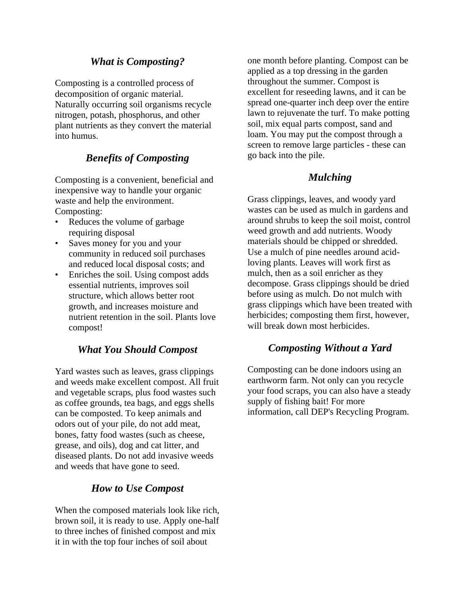## *What is Composting?*

Composting is a controlled process of decomposition of organic material. Naturally occurring soil organisms recycle nitrogen, potash, phosphorus, and other plant nutrients as they convert the material into humus.

# *Benefits of Composting*

Composting is a convenient, beneficial and inexpensive way to handle your organic waste and help the environment. Composting:

- Reduces the volume of garbage requiring disposal
- Saves money for you and your community in reduced soil purchases and reduced local disposal costs; and
- Enriches the soil. Using compost adds essential nutrients, improves soil structure, which allows better root growth, and increases moisture and nutrient retention in the soil. Plants love compost!

## *What You Should Compost*

Yard wastes such as leaves, grass clippings and weeds make excellent compost. All fruit and vegetable scraps, plus food wastes such as coffee grounds, tea bags, and eggs shells can be composted. To keep animals and odors out of your pile, do not add meat, bones, fatty food wastes (such as cheese, grease, and oils), dog and cat litter, and diseased plants. Do not add invasive weeds and weeds that have gone to seed.

## *How to Use Compost*

When the composed materials look like rich, brown soil, it is ready to use. Apply one-half to three inches of finished compost and mix it in with the top four inches of soil about

one month before planting. Compost can be applied as a top dressing in the garden throughout the summer. Compost is excellent for reseeding lawns, and it can be spread one-quarter inch deep over the entire lawn to rejuvenate the turf. To make potting soil, mix equal parts compost, sand and loam. You may put the compost through a screen to remove large particles - these can go back into the pile.

#### *Mulching*

Grass clippings, leaves, and woody yard wastes can be used as mulch in gardens and around shrubs to keep the soil moist, control weed growth and add nutrients. Woody materials should be chipped or shredded. Use a mulch of pine needles around acidloving plants. Leaves will work first as mulch, then as a soil enricher as they decompose. Grass clippings should be dried before using as mulch. Do not mulch with grass clippings which have been treated with herbicides; composting them first, however, will break down most herbicides.

#### *Composting Without a Yard*

Composting can be done indoors using an earthworm farm. Not only can you recycle your food scraps, you can also have a steady supply of fishing bait! For more information, call DEP's Recycling Program.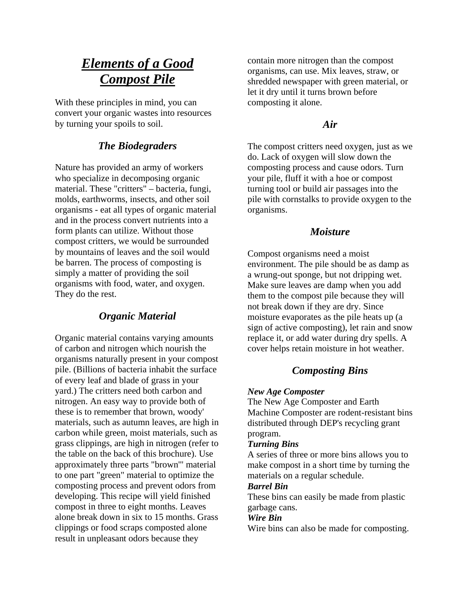# *Elements of a Good Compost Pile*

With these principles in mind, you can convert your organic wastes into resources by turning your spoils to soil.

# *The Biodegraders*

Nature has provided an army of workers who specialize in decomposing organic material. These "critters" – bacteria, fungi, molds, earthworms, insects, and other soil organisms - eat all types of organic material and in the process convert nutrients into a form plants can utilize. Without those compost critters, we would be surrounded by mountains of leaves and the soil would be barren. The process of composting is simply a matter of providing the soil organisms with food, water, and oxygen. They do the rest.

# *Organic Material*

Organic material contains varying amounts of carbon and nitrogen which nourish the organisms naturally present in your compost pile. (Billions of bacteria inhabit the surface of every leaf and blade of grass in your yard.) The critters need both carbon and nitrogen. An easy way to provide both of these is to remember that brown, woody' materials, such as autumn leaves, are high in carbon while green, moist materials, such as grass clippings, are high in nitrogen (refer to the table on the back of this brochure). Use approximately three parts "brown'" material to one part "green" material to optimize the composting process and prevent odors from developing. This recipe will yield finished compost in three to eight months. Leaves alone break down in six to 15 months. Grass clippings or food scraps composted alone result in unpleasant odors because they

contain more nitrogen than the compost organisms, can use. Mix leaves, straw, or shredded newspaper with green material, or let it dry until it turns brown before composting it alone.

## *Air*

The compost critters need oxygen, just as we do. Lack of oxygen will slow down the composting process and cause odors. Turn your pile, fluff it with a hoe or compost turning tool or build air passages into the pile with cornstalks to provide oxygen to the organisms.

### *Moisture*

Compost organisms need a moist environment. The pile should be as damp as a wrung-out sponge, but not dripping wet. Make sure leaves are damp when you add them to the compost pile because they will not break down if they are dry. Since moisture evaporates as the pile heats up (a sign of active composting), let rain and snow replace it, or add water during dry spells. A cover helps retain moisture in hot weather.

# *Composting Bins*

#### *New Age Composter*

The New Age Composter and Earth Machine Composter are rodent-resistant bins distributed through DEP's recycling grant program.

#### *Turning Bins*

A series of three or more bins allows you to make compost in a short time by turning the materials on a regular schedule.

#### *Barrel Bin*

These bins can easily be made from plastic garbage cans.

#### *Wire Bin*

Wire bins can also be made for composting.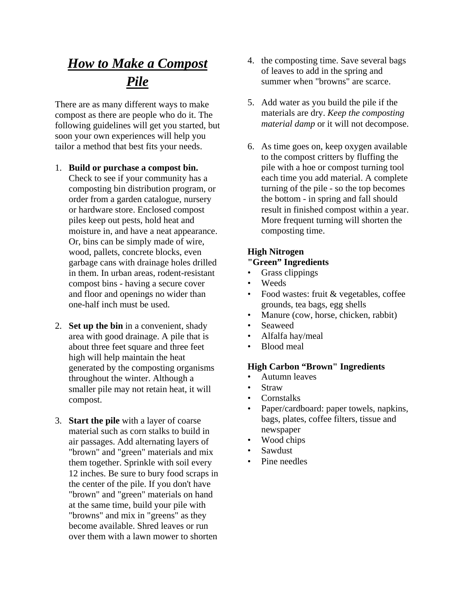# *How to Make a Compost Pile*

There are as many different ways to make compost as there are people who do it. The following guidelines will get you started, but soon your own experiences will help you tailor a method that best fits your needs.

- 1. **Build or purchase a compost bin.** Check to see if your community has a composting bin distribution program, or order from a garden catalogue, nursery or hardware store. Enclosed compost piles keep out pests, hold heat and moisture in, and have a neat appearance. Or, bins can be simply made of wire, wood, pallets, concrete blocks, even garbage cans with drainage holes drilled in them. In urban areas, rodent-resistant compost bins - having a secure cover and floor and openings no wider than one-half inch must be used.
- 2. **Set up the bin** in a convenient, shady area with good drainage. A pile that is about three feet square and three feet high will help maintain the heat generated by the composting organisms throughout the winter. Although a smaller pile may not retain heat, it will compost.
- 3. **Start the pile** with a layer of coarse material such as corn stalks to build in air passages. Add alternating layers of "brown" and "green" materials and mix them together. Sprinkle with soil every 12 inches. Be sure to bury food scraps in the center of the pile. If you don't have "brown" and "green" materials on hand at the same time, build your pile with "browns" and mix in "greens" as they become available. Shred leaves or run over them with a lawn mower to shorten
- 4. the composting time. Save several bags of leaves to add in the spring and summer when "browns" are scarce.
- 5. Add water as you build the pile if the materials are dry. *Keep the composting material damp* or it will not decompose.
- 6. As time goes on, keep oxygen available to the compost critters by fluffing the pile with a hoe or compost turning tool each time you add material. A complete turning of the pile - so the top becomes the bottom - in spring and fall should result in finished compost within a year. More frequent turning will shorten the composting time.

# **High Nitrogen**

## **"Green" Ingredients**

- Grass clippings
- Weeds
- Food wastes: fruit & vegetables, coffee grounds, tea bags, egg shells
- Manure (cow, horse, chicken, rabbit)
- Seaweed
- Alfalfa hay/meal
- Blood meal

#### **High Carbon "Brown" Ingredients**

- Autumn leaves
- **Straw**
- Cornstalks
- Paper/cardboard: paper towels, napkins, bags, plates, coffee filters, tissue and newspaper
- Wood chips
- Sawdust
- Pine needles